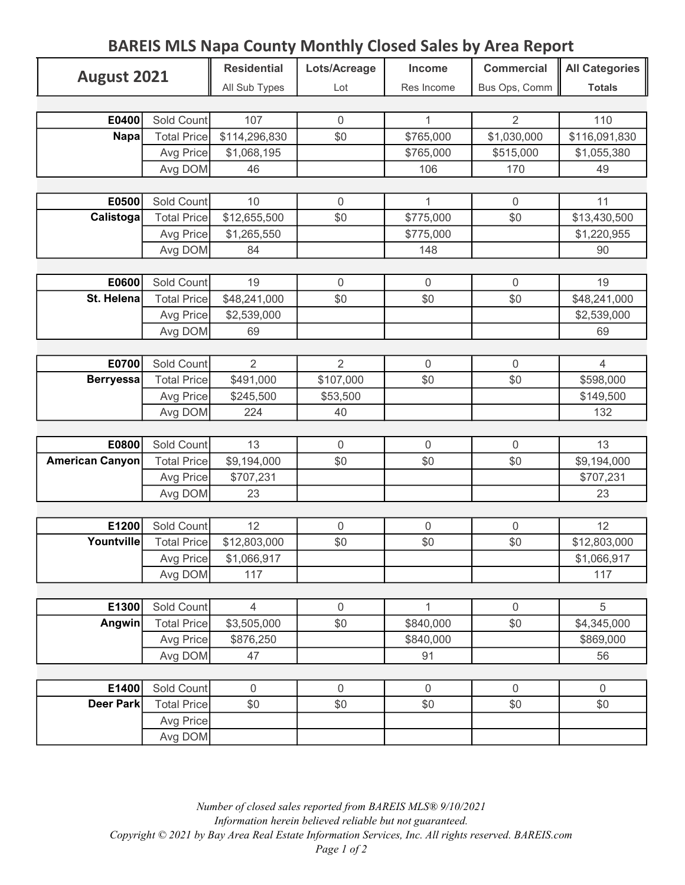## Residential | Lots/Acreage | Income | Commercial || All Categories All Sub Types Lot Res Income Bus Ops, Comm | Totals **E0400** Sold Count 107 0 1 1 2 110 Total Price \$114,296,830 \$1 \$1,030,000 \$1,030,000 \$116,091,830 Avg Price \$1,068,195 | \$765,000 \$515,000 \$1,055,380 Avg DOM 46 106 170 49 **E0500** Sold Count 10 0 1 1 0 11 Total Price \$12,655,500 \$0 \$775,000 \$0 \$13,430,500 Avg Price \$1,265,550 \$775,000 \$775,000 \$1,220,955 Avg DOM 84 148 148 90 **E0600** Sold Count 19 0 0 0 0 19 Total Price  $$48,241,000$   $$0$   $$6$   $$6$   $$6$   $$48,241,000$ Avg Price \$2,539,000 \$2,539,000 Avg DOM 69 69 69 E0700 Sold Count 2 2 0 0 4 Total Price \$491,000 \$107,000 \$0 \$0 \$598,000 Avg Price \$245,500 \$53,500 \$53,500 \$149,500 Avg DOM 224 40 132 **E0800** Sold Count 13 0 0 0 0 13 Total Price  $\begin{array}{|c|c|c|c|} \hline \$9,194,000 & \$0 & \$0 & \end{array}$  \$0 \$9,194,000 Avg Price \$707,231 \$707,231  $Avg DOM$  23  $23$ E1200 Sold Count 12 0 0 0 12 Total Price \$12,803,000 \$0 \$0 \$0 \$0 \$0 \$12,803,000 Avg Price \$1,066,917 \$1,066,917 Avg DOM 117 117 117 117 E1300 Sold Count 4 0 1 0 5 Total Price \$3,505,000 \$0 \$840,000 \$0 \$4,345,000 Avg Price \$876,250 \$840,000 \$840,000 Avg DOM 47 47 91 91 56 **E1400** Sold Count  $\begin{bmatrix} 0 & 0 & 0 \\ 0 & 0 & 0 \\ 0 & 0 & 0 \end{bmatrix}$  0 0 0 Total Price 50 \$0 \$0 \$0 \$0 \$0 Avg Price Avg DOM August 2021 Napa Calistoga St. Helena Berryessa American Canyon Yountville Angwin Deer Park

## BAREIS MLS Napa County Monthly Closed Sales by Area Report

Number of closed sales reported from BAREIS MLS® 9/10/2021 Information herein believed reliable but not guaranteed. Copyright © 2021 by Bay Area Real Estate Information Services, Inc. All rights reserved. BAREIS.com Page 1 of 2